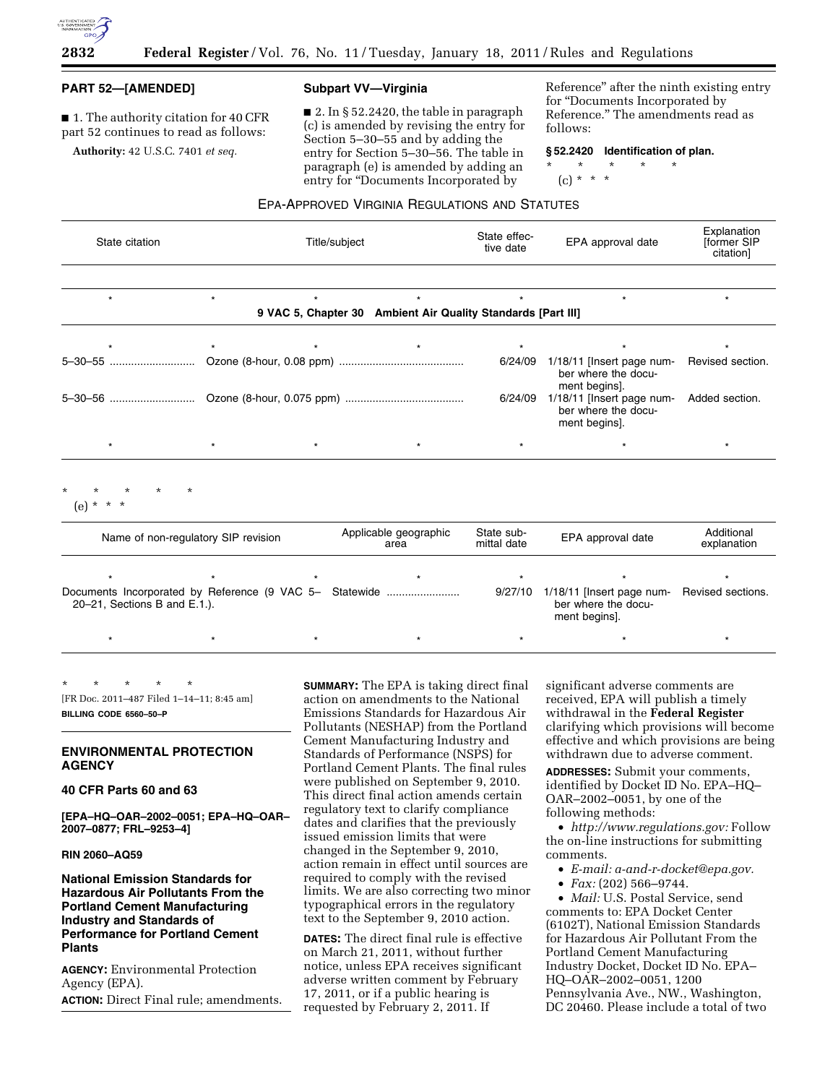

# **PART 52—[AMENDED]**

■ 1. The authority citation for 40 CFR part 52 continues to read as follows: **Authority:** 42 U.S.C. 7401 *et seq.* 

### **Subpart VV—Virginia**

 $\blacksquare$  2. In § 52.2420, the table in paragraph (c) is amended by revising the entry for Section 5–30–55 and by adding the entry for Section 5–30–56. The table in paragraph (e) is amended by adding an entry for ''Documents Incorporated by

Reference'' after the ninth existing entry for ''Documents Incorporated by Reference.'' The amendments read as follows:

**§ 52.2420 Identification of plan.** 

\* \* \* \* \*

 $(c) * *$ 

# EPA-APPROVED VIRGINIA REGULATIONS AND STATUTES

| State citation                                                                          |                    | Title/subject                 | State effec-<br>tive date                                               | EPA approval date                                                           | Explanation<br>[former SIP<br>citationl |
|-----------------------------------------------------------------------------------------|--------------------|-------------------------------|-------------------------------------------------------------------------|-----------------------------------------------------------------------------|-----------------------------------------|
|                                                                                         |                    |                               |                                                                         |                                                                             |                                         |
| $\star$                                                                                 | $\star$<br>$\star$ | $\star$                       | $\star$<br>9 VAC 5, Chapter 30 Ambient Air Quality Standards [Part III] | $\star$                                                                     | $\star$                                 |
|                                                                                         |                    |                               | $\star$                                                                 |                                                                             |                                         |
|                                                                                         |                    |                               | 6/24/09                                                                 | 1/18/11 [Insert page num-<br>ber where the docu-<br>ment begins].           | Revised section.                        |
|                                                                                         |                    |                               | 6/24/09                                                                 | 1/18/11 [Insert page num-<br>ber where the docu-<br>ment begins].           | Added section.                          |
| $\star$                                                                                 | $\star$<br>$\star$ | $\star$                       |                                                                         |                                                                             | $\star$                                 |
| $\star$<br>$\star$<br>(e) * * *                                                         |                    |                               |                                                                         |                                                                             |                                         |
| Name of non-regulatory SIP revision                                                     |                    | Applicable geographic<br>area | State sub-<br>mittal date                                               | EPA approval date                                                           | Additional<br>explanation               |
| $\star$                                                                                 |                    |                               | $\star$                                                                 |                                                                             |                                         |
| Documents Incorporated by Reference (9 VAC 5- Statewide<br>20-21, Sections B and E.1.). |                    |                               |                                                                         | $9/27/10$ 1/18/11 [lnsert page num-<br>ber where the docu-<br>ment begins]. | Revised sections.                       |

\* \* \* \* \* [FR Doc. 2011–487 Filed 1–14–11; 8:45 am] **BILLING CODE 6560–50–P** 

# **ENVIRONMENTAL PROTECTION AGENCY**

# **40 CFR Parts 60 and 63**

**[EPA–HQ–OAR–2002–0051; EPA–HQ–OAR– 2007–0877; FRL–9253–4]** 

# **RIN 2060–AQ59**

**National Emission Standards for Hazardous Air Pollutants From the Portland Cement Manufacturing Industry and Standards of Performance for Portland Cement Plants** 

**AGENCY:** Environmental Protection Agency (EPA). **ACTION:** Direct Final rule; amendments. **SUMMARY:** The EPA is taking direct final action on amendments to the National Emissions Standards for Hazardous Air Pollutants (NESHAP) from the Portland Cement Manufacturing Industry and Standards of Performance (NSPS) for Portland Cement Plants. The final rules were published on September 9, 2010. This direct final action amends certain regulatory text to clarify compliance dates and clarifies that the previously issued emission limits that were changed in the September 9, 2010, action remain in effect until sources are required to comply with the revised limits. We are also correcting two minor typographical errors in the regulatory text to the September 9, 2010 action.

\*\*\*\*\*\*\*

**DATES:** The direct final rule is effective on March 21, 2011, without further notice, unless EPA receives significant adverse written comment by February 17, 2011, or if a public hearing is requested by February 2, 2011. If

significant adverse comments are received, EPA will publish a timely withdrawal in the **Federal Register**  clarifying which provisions will become effective and which provisions are being withdrawn due to adverse comment.

**ADDRESSES:** Submit your comments, identified by Docket ID No. EPA–HQ– OAR–2002–0051, by one of the following methods:

• *[http://www.regulations.gov:](http://www.regulations.gov)* Follow the on-line instructions for submitting comments.

• *E-mail: [a-and-r-docket@epa.gov.](mailto:a-and-r-docket@epa.gov)* 

• *Fax:* (202) 566–9744.

• *Mail:* U.S. Postal Service, send comments to: EPA Docket Center (6102T), National Emission Standards for Hazardous Air Pollutant From the Portland Cement Manufacturing Industry Docket, Docket ID No. EPA– HQ–OAR–2002–0051, 1200 Pennsylvania Ave., NW., Washington, DC 20460. Please include a total of two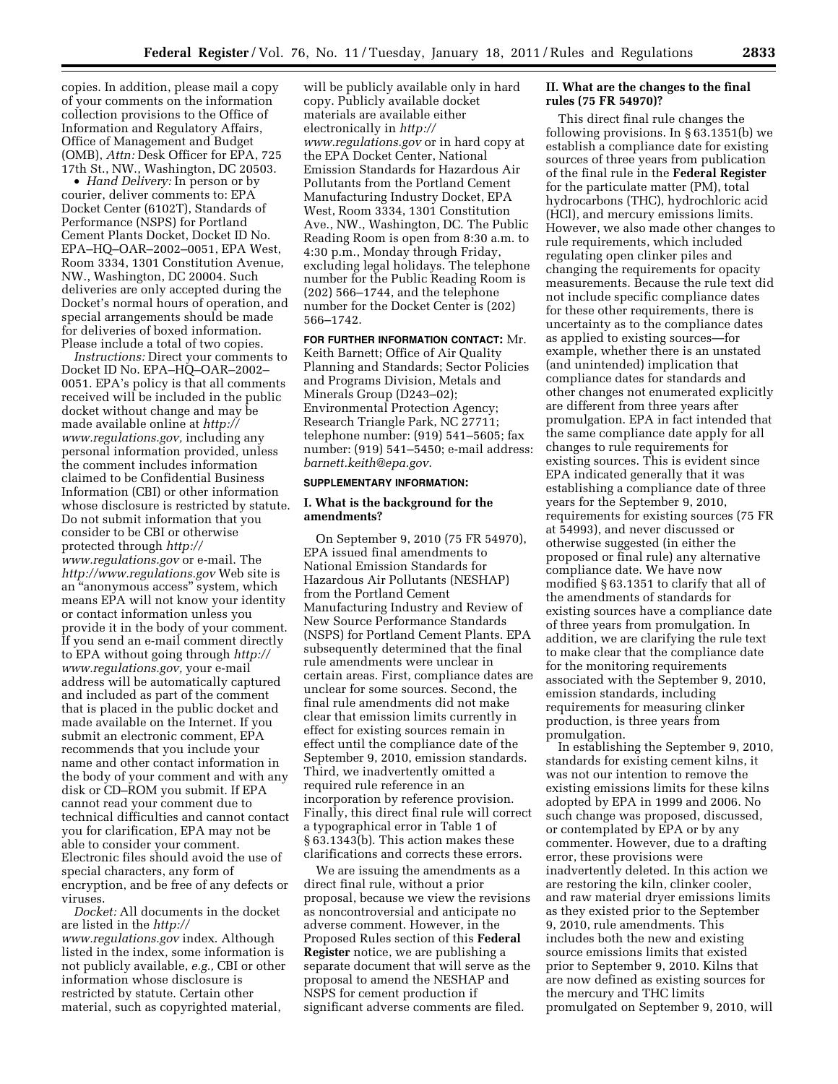copies. In addition, please mail a copy of your comments on the information collection provisions to the Office of Information and Regulatory Affairs, Office of Management and Budget (OMB), *Attn:* Desk Officer for EPA, 725 17th St., NW., Washington, DC 20503.

• *Hand Delivery:* In person or by courier, deliver comments to: EPA Docket Center (6102T), Standards of Performance (NSPS) for Portland Cement Plants Docket, Docket ID No. EPA–HQ–OAR–2002–0051, EPA West, Room 3334, 1301 Constitution Avenue, NW., Washington, DC 20004. Such deliveries are only accepted during the Docket's normal hours of operation, and special arrangements should be made for deliveries of boxed information. Please include a total of two copies.

*Instructions:* Direct your comments to Docket ID No. EPA–HQ–OAR–2002– 0051. EPA's policy is that all comments received will be included in the public docket without change and may be made available online at *[http://](http://www.regulations.gov)  [www.regulations.gov,](http://www.regulations.gov)* including any personal information provided, unless the comment includes information claimed to be Confidential Business Information (CBI) or other information whose disclosure is restricted by statute. Do not submit information that you consider to be CBI or otherwise protected through *[http://](http://www.regulations.gov)  [www.regulations.gov](http://www.regulations.gov)* or e-mail. The *<http://www.regulations.gov>* Web site is an ''anonymous access'' system, which means EPA will not know your identity or contact information unless you provide it in the body of your comment. If you send an e-mail comment directly to EPA without going through *[http://](http://www.regulations.gov) [www.regulations.gov,](http://www.regulations.gov)* your e-mail address will be automatically captured and included as part of the comment that is placed in the public docket and made available on the Internet. If you submit an electronic comment, EPA recommends that you include your name and other contact information in the body of your comment and with any disk or CD–ROM you submit. If EPA cannot read your comment due to technical difficulties and cannot contact you for clarification, EPA may not be able to consider your comment. Electronic files should avoid the use of special characters, any form of encryption, and be free of any defects or viruses.

*Docket:* All documents in the docket are listed in the *[http://](http://www.regulations.gov) [www.regulations.gov](http://www.regulations.gov)* index. Although listed in the index, some information is not publicly available, *e.g.,* CBI or other information whose disclosure is restricted by statute. Certain other material, such as copyrighted material,

will be publicly available only in hard copy. Publicly available docket materials are available either electronically in *[http://](http://www.regulations.gov) [www.regulations.gov](http://www.regulations.gov)* or in hard copy at the EPA Docket Center, National Emission Standards for Hazardous Air Pollutants from the Portland Cement Manufacturing Industry Docket, EPA West, Room 3334, 1301 Constitution Ave., NW., Washington, DC. The Public Reading Room is open from 8:30 a.m. to 4:30 p.m., Monday through Friday, excluding legal holidays. The telephone number for the Public Reading Room is (202) 566–1744, and the telephone number for the Docket Center is (202) 566–1742.

**FOR FURTHER INFORMATION CONTACT:** Mr. Keith Barnett; Office of Air Quality Planning and Standards; Sector Policies and Programs Division, Metals and Minerals Group (D243–02); Environmental Protection Agency; Research Triangle Park, NC 27711; telephone number: (919) 541–5605; fax number: (919) 541–5450; e-mail address: *[barnett.keith@epa.gov](mailto:barnett.keith@epa.gov)*.

## **SUPPLEMENTARY INFORMATION:**

## **I. What is the background for the amendments?**

On September 9, 2010 (75 FR 54970), EPA issued final amendments to National Emission Standards for Hazardous Air Pollutants (NESHAP) from the Portland Cement Manufacturing Industry and Review of New Source Performance Standards (NSPS) for Portland Cement Plants. EPA subsequently determined that the final rule amendments were unclear in certain areas. First, compliance dates are unclear for some sources. Second, the final rule amendments did not make clear that emission limits currently in effect for existing sources remain in effect until the compliance date of the September 9, 2010, emission standards. Third, we inadvertently omitted a required rule reference in an incorporation by reference provision. Finally, this direct final rule will correct a typographical error in Table 1 of § 63.1343(b). This action makes these clarifications and corrects these errors.

We are issuing the amendments as a direct final rule, without a prior proposal, because we view the revisions as noncontroversial and anticipate no adverse comment. However, in the Proposed Rules section of this **Federal Register** notice, we are publishing a separate document that will serve as the proposal to amend the NESHAP and NSPS for cement production if significant adverse comments are filed.

### **II. What are the changes to the final rules (75 FR 54970)?**

This direct final rule changes the following provisions. In § 63.1351(b) we establish a compliance date for existing sources of three years from publication of the final rule in the **Federal Register**  for the particulate matter (PM), total hydrocarbons (THC), hydrochloric acid (HCl), and mercury emissions limits. However, we also made other changes to rule requirements, which included regulating open clinker piles and changing the requirements for opacity measurements. Because the rule text did not include specific compliance dates for these other requirements, there is uncertainty as to the compliance dates as applied to existing sources—for example, whether there is an unstated (and unintended) implication that compliance dates for standards and other changes not enumerated explicitly are different from three years after promulgation. EPA in fact intended that the same compliance date apply for all changes to rule requirements for existing sources. This is evident since EPA indicated generally that it was establishing a compliance date of three years for the September 9, 2010, requirements for existing sources (75 FR at 54993), and never discussed or otherwise suggested (in either the proposed or final rule) any alternative compliance date. We have now modified § 63.1351 to clarify that all of the amendments of standards for existing sources have a compliance date of three years from promulgation. In addition, we are clarifying the rule text to make clear that the compliance date for the monitoring requirements associated with the September 9, 2010, emission standards, including requirements for measuring clinker production, is three years from promulgation.

In establishing the September 9, 2010, standards for existing cement kilns, it was not our intention to remove the existing emissions limits for these kilns adopted by EPA in 1999 and 2006. No such change was proposed, discussed, or contemplated by EPA or by any commenter. However, due to a drafting error, these provisions were inadvertently deleted. In this action we are restoring the kiln, clinker cooler, and raw material dryer emissions limits as they existed prior to the September 9, 2010, rule amendments. This includes both the new and existing source emissions limits that existed prior to September 9, 2010. Kilns that are now defined as existing sources for the mercury and THC limits promulgated on September 9, 2010, will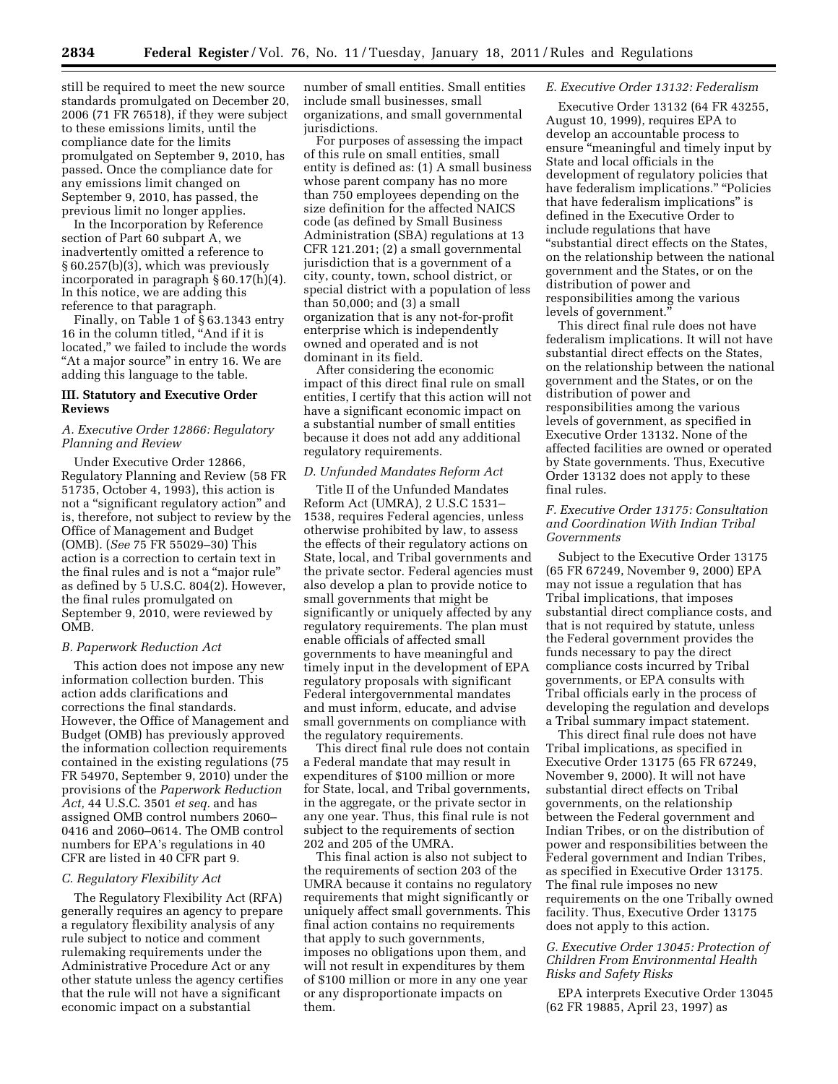still be required to meet the new source standards promulgated on December 20, 2006 (71 FR 76518), if they were subject to these emissions limits, until the compliance date for the limits promulgated on September 9, 2010, has passed. Once the compliance date for any emissions limit changed on September 9, 2010, has passed, the previous limit no longer applies.

In the Incorporation by Reference section of Part 60 subpart A, we inadvertently omitted a reference to § 60.257(b)(3), which was previously incorporated in paragraph § 60.17(h)(4). In this notice, we are adding this reference to that paragraph.

Finally, on Table 1 of § 63.1343 entry 16 in the column titled, ''And if it is located,'' we failed to include the words "At a major source" in entry 16. We are adding this language to the table.

# **III. Statutory and Executive Order Reviews**

## *A. Executive Order 12866: Regulatory Planning and Review*

Under Executive Order 12866, Regulatory Planning and Review (58 FR 51735, October 4, 1993), this action is not a ''significant regulatory action'' and is, therefore, not subject to review by the Office of Management and Budget (OMB). (*See* 75 FR 55029–30) This action is a correction to certain text in the final rules and is not a ''major rule'' as defined by 5 U.S.C. 804(2). However, the final rules promulgated on September 9, 2010, were reviewed by OMB.

### *B. Paperwork Reduction Act*

This action does not impose any new information collection burden. This action adds clarifications and corrections the final standards. However, the Office of Management and Budget (OMB) has previously approved the information collection requirements contained in the existing regulations (75 FR 54970, September 9, 2010) under the provisions of the *Paperwork Reduction Act,* 44 U.S.C. 3501 *et seq.* and has assigned OMB control numbers 2060– 0416 and 2060–0614. The OMB control numbers for EPA's regulations in 40 CFR are listed in 40 CFR part 9.

### *C. Regulatory Flexibility Act*

The Regulatory Flexibility Act (RFA) generally requires an agency to prepare a regulatory flexibility analysis of any rule subject to notice and comment rulemaking requirements under the Administrative Procedure Act or any other statute unless the agency certifies that the rule will not have a significant economic impact on a substantial

number of small entities. Small entities include small businesses, small organizations, and small governmental jurisdictions.

For purposes of assessing the impact of this rule on small entities, small entity is defined as: (1) A small business whose parent company has no more than 750 employees depending on the size definition for the affected NAICS code (as defined by Small Business Administration (SBA) regulations at 13 CFR 121.201; (2) a small governmental jurisdiction that is a government of a city, county, town, school district, or special district with a population of less than 50,000; and (3) a small organization that is any not-for-profit enterprise which is independently owned and operated and is not dominant in its field.

After considering the economic impact of this direct final rule on small entities, I certify that this action will not have a significant economic impact on a substantial number of small entities because it does not add any additional regulatory requirements.

# *D. Unfunded Mandates Reform Act*

Title II of the Unfunded Mandates Reform Act (UMRA), 2 U.S.C 1531– 1538, requires Federal agencies, unless otherwise prohibited by law, to assess the effects of their regulatory actions on State, local, and Tribal governments and the private sector. Federal agencies must also develop a plan to provide notice to small governments that might be significantly or uniquely affected by any regulatory requirements. The plan must enable officials of affected small governments to have meaningful and timely input in the development of EPA regulatory proposals with significant Federal intergovernmental mandates and must inform, educate, and advise small governments on compliance with the regulatory requirements.

This direct final rule does not contain a Federal mandate that may result in expenditures of \$100 million or more for State, local, and Tribal governments, in the aggregate, or the private sector in any one year. Thus, this final rule is not subject to the requirements of section 202 and 205 of the UMRA.

This final action is also not subject to the requirements of section 203 of the UMRA because it contains no regulatory requirements that might significantly or uniquely affect small governments. This final action contains no requirements that apply to such governments, imposes no obligations upon them, and will not result in expenditures by them of \$100 million or more in any one year or any disproportionate impacts on them.

# *E. Executive Order 13132: Federalism*

Executive Order 13132 (64 FR 43255, August 10, 1999), requires EPA to develop an accountable process to ensure "meaningful and timely input by State and local officials in the development of regulatory policies that have federalism implications." "Policies that have federalism implications'' is defined in the Executive Order to include regulations that have ''substantial direct effects on the States, on the relationship between the national government and the States, or on the distribution of power and responsibilities among the various levels of government.''

This direct final rule does not have federalism implications. It will not have substantial direct effects on the States, on the relationship between the national government and the States, or on the distribution of power and responsibilities among the various levels of government, as specified in Executive Order 13132. None of the affected facilities are owned or operated by State governments. Thus, Executive Order 13132 does not apply to these final rules.

# *F. Executive Order 13175: Consultation and Coordination With Indian Tribal Governments*

Subject to the Executive Order 13175 (65 FR 67249, November 9, 2000) EPA may not issue a regulation that has Tribal implications, that imposes substantial direct compliance costs, and that is not required by statute, unless the Federal government provides the funds necessary to pay the direct compliance costs incurred by Tribal governments, or EPA consults with Tribal officials early in the process of developing the regulation and develops a Tribal summary impact statement.

This direct final rule does not have Tribal implications, as specified in Executive Order 13175 (65 FR 67249, November 9, 2000). It will not have substantial direct effects on Tribal governments, on the relationship between the Federal government and Indian Tribes, or on the distribution of power and responsibilities between the Federal government and Indian Tribes, as specified in Executive Order 13175. The final rule imposes no new requirements on the one Tribally owned facility. Thus, Executive Order 13175 does not apply to this action.

# *G. Executive Order 13045: Protection of Children From Environmental Health Risks and Safety Risks*

EPA interprets Executive Order 13045 (62 FR 19885, April 23, 1997) as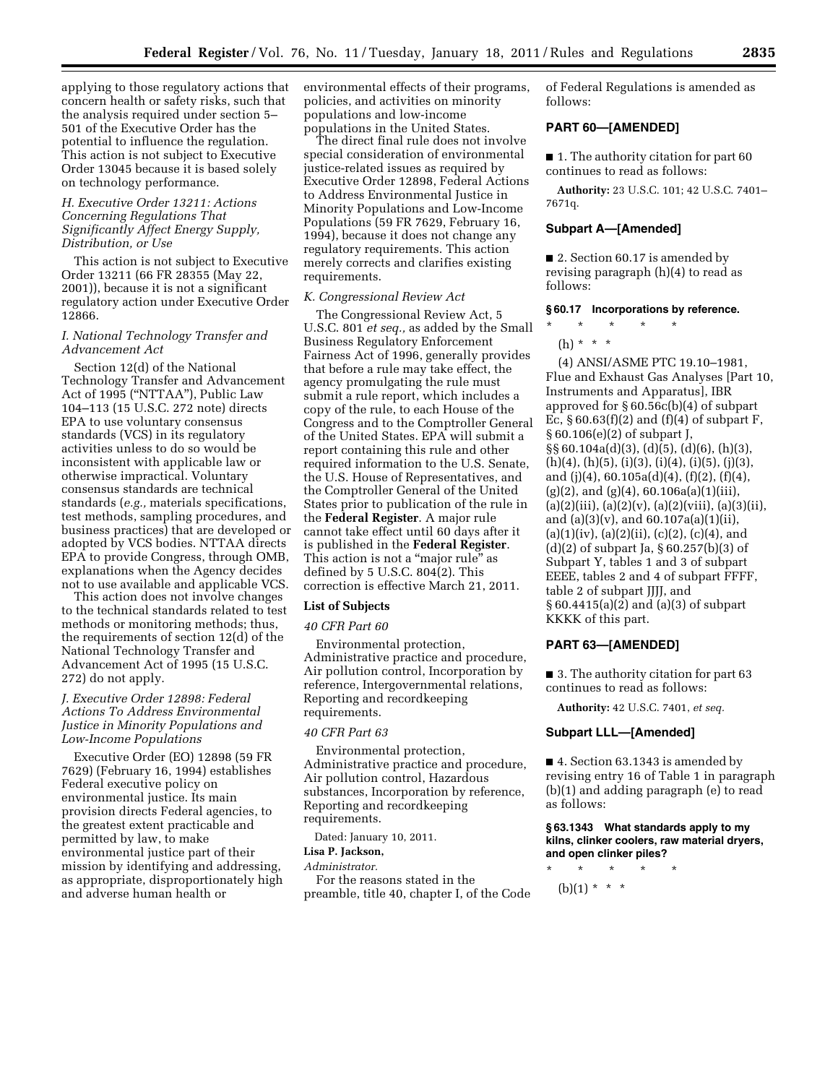applying to those regulatory actions that concern health or safety risks, such that the analysis required under section 5– 501 of the Executive Order has the potential to influence the regulation. This action is not subject to Executive Order 13045 because it is based solely on technology performance.

# *H. Executive Order 13211: Actions Concerning Regulations That Significantly Affect Energy Supply, Distribution, or Use*

This action is not subject to Executive Order 13211 (66 FR 28355 (May 22, 2001)), because it is not a significant regulatory action under Executive Order 12866.

# *I. National Technology Transfer and Advancement Act*

Section 12(d) of the National Technology Transfer and Advancement Act of 1995 (''NTTAA''), Public Law 104–113 (15 U.S.C. 272 note) directs EPA to use voluntary consensus standards (VCS) in its regulatory activities unless to do so would be inconsistent with applicable law or otherwise impractical. Voluntary consensus standards are technical standards (*e.g.,* materials specifications, test methods, sampling procedures, and business practices) that are developed or adopted by VCS bodies. NTTAA directs EPA to provide Congress, through OMB, explanations when the Agency decides not to use available and applicable VCS.

This action does not involve changes to the technical standards related to test methods or monitoring methods; thus, the requirements of section 12(d) of the National Technology Transfer and Advancement Act of 1995 (15 U.S.C. 272) do not apply.

# *J. Executive Order 12898: Federal Actions To Address Environmental Justice in Minority Populations and Low-Income Populations*

Executive Order (EO) 12898 (59 FR 7629) (February 16, 1994) establishes Federal executive policy on environmental justice. Its main provision directs Federal agencies, to the greatest extent practicable and permitted by law, to make environmental justice part of their mission by identifying and addressing, as appropriate, disproportionately high and adverse human health or

environmental effects of their programs, policies, and activities on minority populations and low-income populations in the United States.

The direct final rule does not involve special consideration of environmental justice-related issues as required by Executive Order 12898, Federal Actions to Address Environmental Justice in Minority Populations and Low-Income Populations (59 FR 7629, February 16, 1994), because it does not change any regulatory requirements. This action merely corrects and clarifies existing requirements.

## *K. Congressional Review Act*

The Congressional Review Act, 5 U.S.C. 801 *et seq.,* as added by the Small Business Regulatory Enforcement Fairness Act of 1996, generally provides that before a rule may take effect, the agency promulgating the rule must submit a rule report, which includes a copy of the rule, to each House of the Congress and to the Comptroller General of the United States. EPA will submit a report containing this rule and other required information to the U.S. Senate, the U.S. House of Representatives, and the Comptroller General of the United States prior to publication of the rule in the **Federal Register**. A major rule cannot take effect until 60 days after it is published in the **Federal Register**. This action is not a "major rule" as defined by 5 U.S.C. 804(2). This correction is effective March 21, 2011.

#### **List of Subjects**

## *40 CFR Part 60*

Environmental protection, Administrative practice and procedure, Air pollution control, Incorporation by reference, Intergovernmental relations, Reporting and recordkeeping requirements.

#### *40 CFR Part 63*

Environmental protection, Administrative practice and procedure, Air pollution control, Hazardous substances, Incorporation by reference, Reporting and recordkeeping requirements.

Dated: January 10, 2011.

# **Lisa P. Jackson,**

*Administrator.* 

For the reasons stated in the preamble, title 40, chapter I, of the Code of Federal Regulations is amended as follows:

# **PART 60—[AMENDED]**

■ 1. The authority citation for part 60 continues to read as follows:

**Authority:** 23 U.S.C. 101; 42 U.S.C. 7401– 7671q.

### **Subpart A—[Amended]**

■ 2. Section 60.17 is amended by revising paragraph (h)(4) to read as follows:

#### **§ 60.17 Incorporations by reference.**

\* \* \* \* \* (h) \* \* \*

(4) ANSI/ASME PTC 19.10–1981, Flue and Exhaust Gas Analyses [Part 10, Instruments and Apparatus], IBR approved for § 60.56c(b)(4) of subpart Ec,  $\S 60.63(f)(2)$  and  $(f)(4)$  of subpart F, § 60.106(e)(2) of subpart J, §§ 60.104a(d)(3), (d)(5), (d)(6), (h)(3), (h)(4), (h)(5), (i)(3), (i)(4), (i)(5), (j)(3), and (j)(4),  $60.105a(d)(4)$ , (f)(2), (f)(4),  $(g)(2)$ , and  $(g)(4)$ , 60.106a(a)(1)(iii),  $(a)(2)(iii), (a)(2)(v), (a)(2)(viii), (a)(3)(ii),$ and  $(a)(3)(v)$ , and  $60.107a(a)(1)(ii)$ ,  $(a)(1)(iv), (a)(2)(ii), (c)(2), (c)(4), and$  $(d)(2)$  of subpart Ja, § 60.257(b)(3) of Subpart Y, tables 1 and 3 of subpart EEEE, tables 2 and 4 of subpart FFFF, table 2 of subpart JJJJ, and § 60.4415(a)(2) and (a)(3) of subpart KKKK of this part.

### **PART 63—[AMENDED]**

■ 3. The authority citation for part 63 continues to read as follows:

**Authority:** 42 U.S.C. 7401, *et seq.* 

### **Subpart LLL—[Amended]**

■ 4. Section 63.1343 is amended by revising entry 16 of Table 1 in paragraph (b)(1) and adding paragraph (e) to read as follows:

# **§ 63.1343 What standards apply to my kilns, clinker coolers, raw material dryers, and open clinker piles?**

\* \* \* \* \*  $(b)(1) * * * *$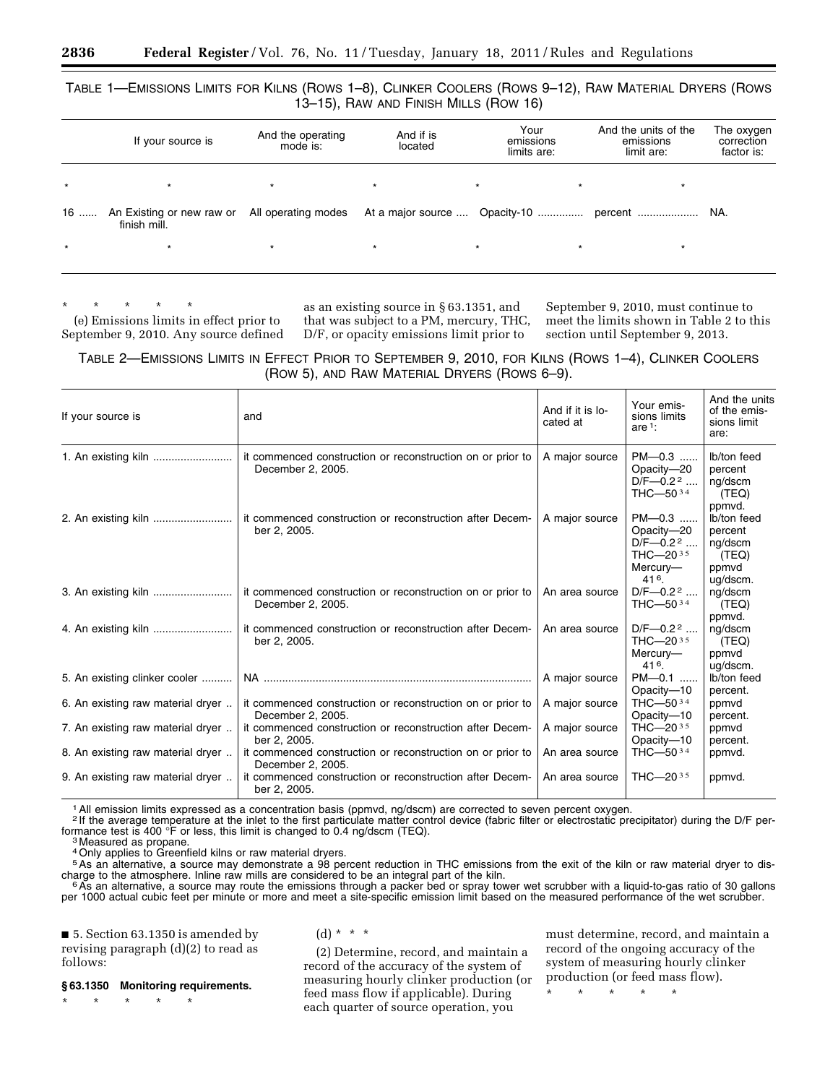TABLE 1—EMISSIONS LIMITS FOR KILNS (ROWS 1–8), CLINKER COOLERS (ROWS 9–12), RAW MATERIAL DRYERS (ROWS 13–15), RAW AND FINISH MILLS (ROW 16)

|         | If your source is                         | And the operating<br>mode is: | And if is<br>located | Your<br>emissions<br>limits are:       | And the units of the<br>emissions<br>limit are: | The oxygen<br>correction<br>factor is: |
|---------|-------------------------------------------|-------------------------------|----------------------|----------------------------------------|-------------------------------------------------|----------------------------------------|
| $\star$ |                                           |                               |                      |                                        |                                                 |                                        |
| $16$    | An Existing or new raw or<br>finish mill. | All operating modes           |                      | At a major source  Opacity-10  percent |                                                 | NA.                                    |
| $\star$ | $\star$                                   | $\star$                       | $\star$              | $\star$<br>$\star$                     | $\star$                                         |                                        |

\* \* \* \* \* (e) Emissions limits in effect prior to September 9, 2010. Any source defined

as an existing source in § 63.1351, and that was subject to a PM, mercury, THC, D/F, or opacity emissions limit prior to

September 9, 2010, must continue to meet the limits shown in Table 2 to this section until September 9, 2013.

TABLE 2—EMISSIONS LIMITS IN EFFECT PRIOR TO SEPTEMBER 9, 2010, FOR KILNS (ROWS 1–4), CLINKER COOLERS (ROW 5), AND RAW MATERIAL DRYERS (ROWS 6–9).

| If your source is                 | and                                                                             | And if it is lo-<br>cated at | Your emis-<br>sions limits<br>are $1$ :                                   | And the units<br>of the emis-<br>sions limit<br>are:            |
|-----------------------------------|---------------------------------------------------------------------------------|------------------------------|---------------------------------------------------------------------------|-----------------------------------------------------------------|
|                                   | it commenced construction or reconstruction on or prior to<br>December 2, 2005. | A major source               | PM-0.3<br>Opacity-20<br>$D/F - 0.2^2$<br>THC-5034                         | Ib/ton feed<br>percent<br>ng/dscm<br>(TEQ)<br>ppmvd.            |
|                                   | it commenced construction or reconstruction after Decem-<br>ber 2, 2005.        | A major source               | PM-0.3<br>Opacity-20<br>$D/F - 0.2^2$<br>THC-2035<br>Mercury-<br>$41^6$ . | Ib/ton feed<br>percent<br>ng/dscm<br>(TEQ)<br>ppmvd<br>ug/dscm. |
|                                   | it commenced construction or reconstruction on or prior to<br>December 2, 2005. | An area source               | $D/F-0.2^2$<br>THC-5034                                                   | ng/dscm<br>(TEQ)<br>ppmvd.                                      |
|                                   | it commenced construction or reconstruction after Decem-<br>ber 2, 2005.        | An area source               | $D/F - 0.2^2$<br>THC-2035<br>Mercury-<br>$41^{6}$ .                       | ng/dscm<br>(TEQ)<br>ppmyd<br>ug/dscm.                           |
| 5. An existing clinker cooler     |                                                                                 | A major source               | PM-0.1<br>Opacity-10                                                      | Ib/ton feed<br>percent.                                         |
| 6. An existing raw material dryer | it commenced construction or reconstruction on or prior to<br>December 2, 2005. | A major source               | THC-5034<br>Opacity-10                                                    | ppmvd<br>percent.                                               |
| 7. An existing raw material dryer | it commenced construction or reconstruction after Decem-<br>ber 2, 2005.        | A major source               | THC-2035<br>Opacity-10                                                    | ppmvd<br>percent.                                               |
| 8. An existing raw material dryer | it commenced construction or reconstruction on or prior to<br>December 2, 2005. | An area source               | THC-5034                                                                  | ppmvd.                                                          |
| 9. An existing raw material dryer | it commenced construction or reconstruction after Decem-<br>ber 2, 2005.        | An area source               | THC-2035                                                                  | ppmvd.                                                          |

1All emission limits expressed as a concentration basis (ppmvd, ng/dscm) are corrected to seven percent oxygen.

<sup>2</sup> If the average temperature at the inlet to the first particulate matter control device (fabric filter or electrostatic precipitator) during the D/F performance test is 400 °F or less, this limit is changed to 0.4 ng/dscm (TEQ). 3 Measured as propane.

4Only applies to Greenfield kilns or raw material dryers.

 $5$ As an alternative, a source may demonstrate a 98 percent reduction in THC emissions from the exit of the kiln or raw material dryer to dis-<br>charge to the atmosphere. Inline raw mills are considered to be an integral pa

<sup>6</sup> As an alternative, a source may route the emissions through a packer bed or spray tower wet scrubber with a liquid-to-gas ratio of 30 gallons per 1000 actual cubic feet per minute or more and meet a site-specific emission limit based on the measured performance of the wet scrubber.

■ 5. Section 63.1350 is amended by revising paragraph (d)(2) to read as follows:

### **§ 63.1350 Monitoring requirements.**

\* \* \* \* \*

 $(d) * * * *$ 

(2) Determine, record, and maintain a record of the accuracy of the system of measuring hourly clinker production (or feed mass flow if applicable). During each quarter of source operation, you

must determine, record, and maintain a record of the ongoing accuracy of the system of measuring hourly clinker production (or feed mass flow).

\* \* \* \* \*